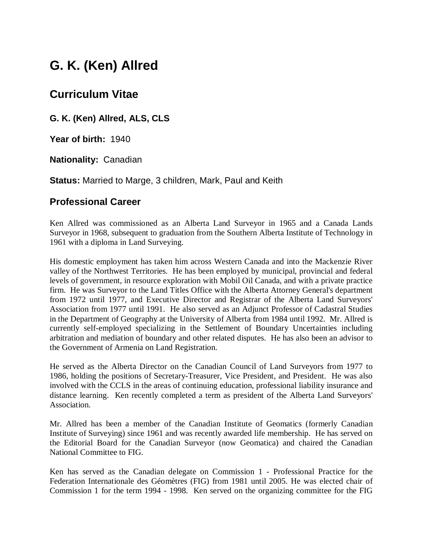# **G. K. (Ken) Allred**

## **Curriculum Vitae**

**G. K. (Ken) Allred, ALS, CLS**

**Year of birth:** 1940

**Nationality:** Canadian

**Status:** Married to Marge, 3 children, Mark, Paul and Keith

### **Professional Career**

Ken Allred was commissioned as an Alberta Land Surveyor in 1965 and a Canada Lands Surveyor in 1968, subsequent to graduation from the Southern Alberta Institute of Technology in 1961 with a diploma in Land Surveying.

His domestic employment has taken him across Western Canada and into the Mackenzie River valley of the Northwest Territories. He has been employed by municipal, provincial and federal levels of government, in resource exploration with Mobil Oil Canada, and with a private practice firm. He was Surveyor to the Land Titles Office with the Alberta Attorney General's department from 1972 until 1977, and Executive Director and Registrar of the Alberta Land Surveyors' Association from 1977 until 1991. He also served as an Adjunct Professor of Cadastral Studies in the Department of Geography at the University of Alberta from 1984 until 1992. Mr. Allred is currently self-employed specializing in the Settlement of Boundary Uncertainties including arbitration and mediation of boundary and other related disputes. He has also been an advisor to the Government of Armenia on Land Registration.

He served as the Alberta Director on the Canadian Council of Land Surveyors from 1977 to 1986, holding the positions of Secretary-Treasurer, Vice President, and President. He was also involved with the CCLS in the areas of continuing education, professional liability insurance and distance learning. Ken recently completed a term as president of the Alberta Land Surveyors' Association.

Mr. Allred has been a member of the Canadian Institute of Geomatics (formerly Canadian Institute of Surveying) since 1961 and was recently awarded life membership. He has served on the Editorial Board for the Canadian Surveyor (now Geomatica) and chaired the Canadian National Committee to FIG.

Ken has served as the Canadian delegate on Commission 1 - Professional Practice for the Federation Internationale des Géomètres (FIG) from 1981 until 2005. He was elected chair of Commission 1 for the term 1994 - 1998. Ken served on the organizing committee for the FIG